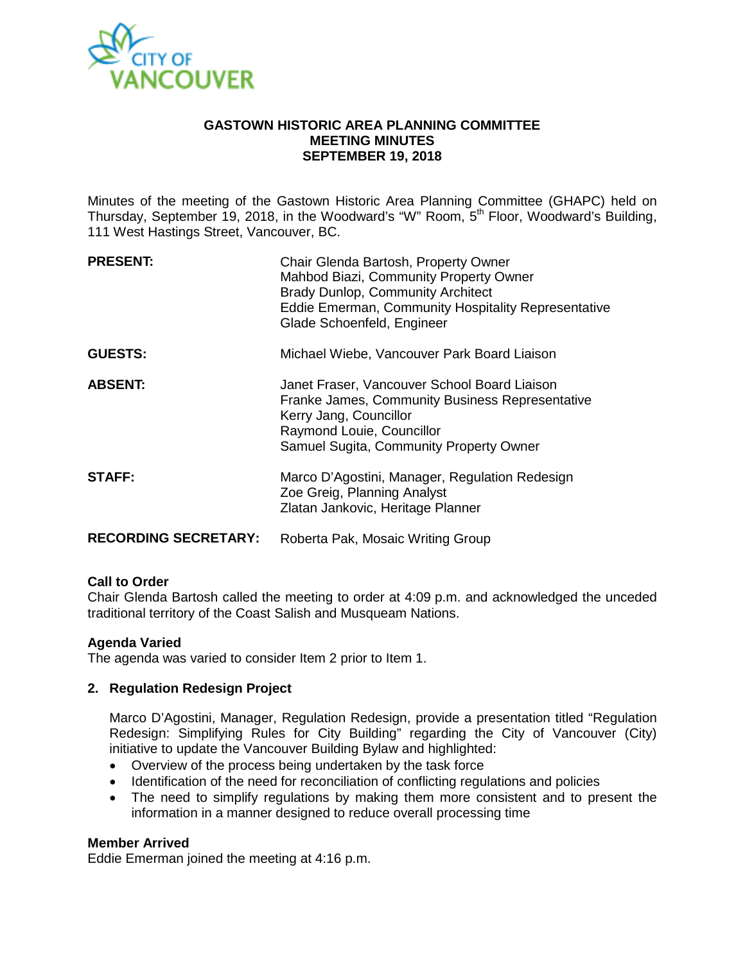

## **GASTOWN HISTORIC AREA PLANNING COMMITTEE MEETING MINUTES SEPTEMBER 19, 2018**

Minutes of the meeting of the Gastown Historic Area Planning Committee (GHAPC) held on Thursday, September 19, 2018, in the Woodward's "W" Room, 5<sup>th</sup> Floor, Woodward's Building, 111 West Hastings Street, Vancouver, BC.

| <b>PRESENT:</b>             | Chair Glenda Bartosh, Property Owner<br>Mahbod Biazi, Community Property Owner<br><b>Brady Dunlop, Community Architect</b><br>Eddie Emerman, Community Hospitality Representative<br>Glade Schoenfeld, Engineer |
|-----------------------------|-----------------------------------------------------------------------------------------------------------------------------------------------------------------------------------------------------------------|
| <b>GUESTS:</b>              | Michael Wiebe, Vancouver Park Board Liaison                                                                                                                                                                     |
| <b>ABSENT:</b>              | Janet Fraser, Vancouver School Board Liaison<br>Franke James, Community Business Representative<br>Kerry Jang, Councillor<br>Raymond Louie, Councillor<br>Samuel Sugita, Community Property Owner               |
| <b>STAFF:</b>               | Marco D'Agostini, Manager, Regulation Redesign<br>Zoe Greig, Planning Analyst<br>Zlatan Jankovic, Heritage Planner                                                                                              |
| <b>RECORDING SECRETARY:</b> | Roberta Pak, Mosaic Writing Group                                                                                                                                                                               |

# **Call to Order**

Chair Glenda Bartosh called the meeting to order at 4:09 p.m. and acknowledged the unceded traditional territory of the Coast Salish and Musqueam Nations.

## **Agenda Varied**

The agenda was varied to consider Item 2 prior to Item 1.

## **2. Regulation Redesign Project**

Marco D'Agostini, Manager, Regulation Redesign, provide a presentation titled "Regulation Redesign: Simplifying Rules for City Building" regarding the City of Vancouver (City) initiative to update the Vancouver Building Bylaw and highlighted:

- Overview of the process being undertaken by the task force
- Identification of the need for reconciliation of conflicting regulations and policies
- The need to simplify regulations by making them more consistent and to present the information in a manner designed to reduce overall processing time

## **Member Arrived**

Eddie Emerman joined the meeting at 4:16 p.m.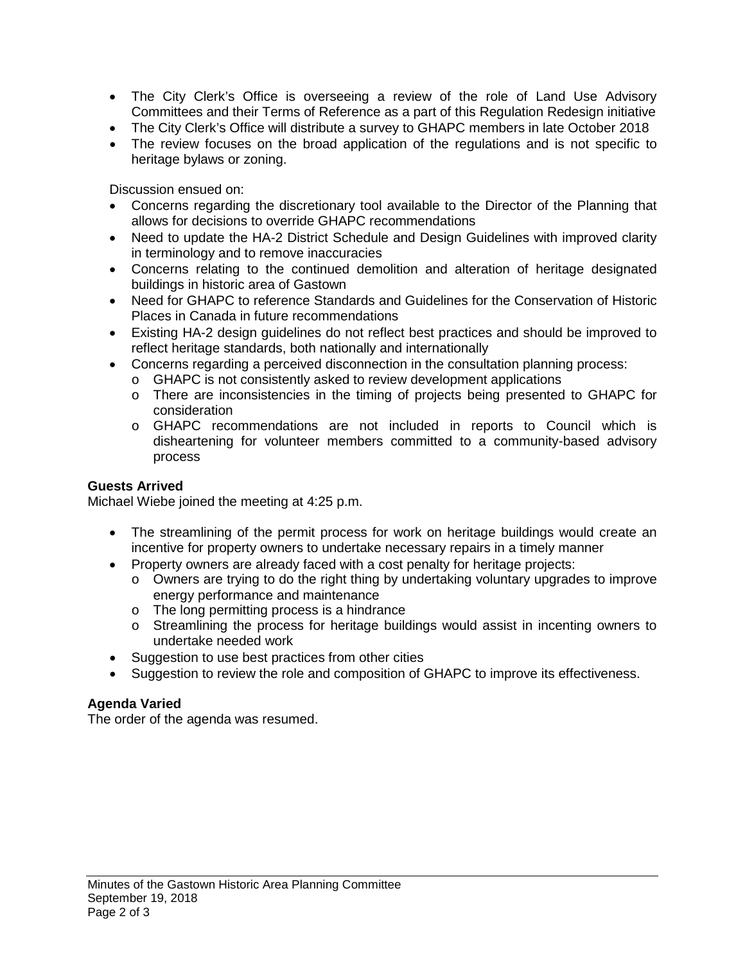- The City Clerk's Office is overseeing a review of the role of Land Use Advisory Committees and their Terms of Reference as a part of this Regulation Redesign initiative
- The City Clerk's Office will distribute a survey to GHAPC members in late October 2018
- The review focuses on the broad application of the regulations and is not specific to heritage bylaws or zoning.

Discussion ensued on:

- Concerns regarding the discretionary tool available to the Director of the Planning that allows for decisions to override GHAPC recommendations
- Need to update the HA-2 District Schedule and Design Guidelines with improved clarity in terminology and to remove inaccuracies
- Concerns relating to the continued demolition and alteration of heritage designated buildings in historic area of Gastown
- Need for GHAPC to reference Standards and Guidelines for the Conservation of Historic Places in Canada in future recommendations
- Existing HA-2 design guidelines do not reflect best practices and should be improved to reflect heritage standards, both nationally and internationally
- Concerns regarding a perceived disconnection in the consultation planning process:
	- o GHAPC is not consistently asked to review development applications
	- o There are inconsistencies in the timing of projects being presented to GHAPC for consideration
	- o GHAPC recommendations are not included in reports to Council which is disheartening for volunteer members committed to a community-based advisory process

# **Guests Arrived**

Michael Wiebe joined the meeting at 4:25 p.m.

- The streamlining of the permit process for work on heritage buildings would create an incentive for property owners to undertake necessary repairs in a timely manner
- Property owners are already faced with a cost penalty for heritage projects:
	- o Owners are trying to do the right thing by undertaking voluntary upgrades to improve energy performance and maintenance
	- o The long permitting process is a hindrance
	- o Streamlining the process for heritage buildings would assist in incenting owners to undertake needed work
- Suggestion to use best practices from other cities
- Suggestion to review the role and composition of GHAPC to improve its effectiveness.

# **Agenda Varied**

The order of the agenda was resumed.